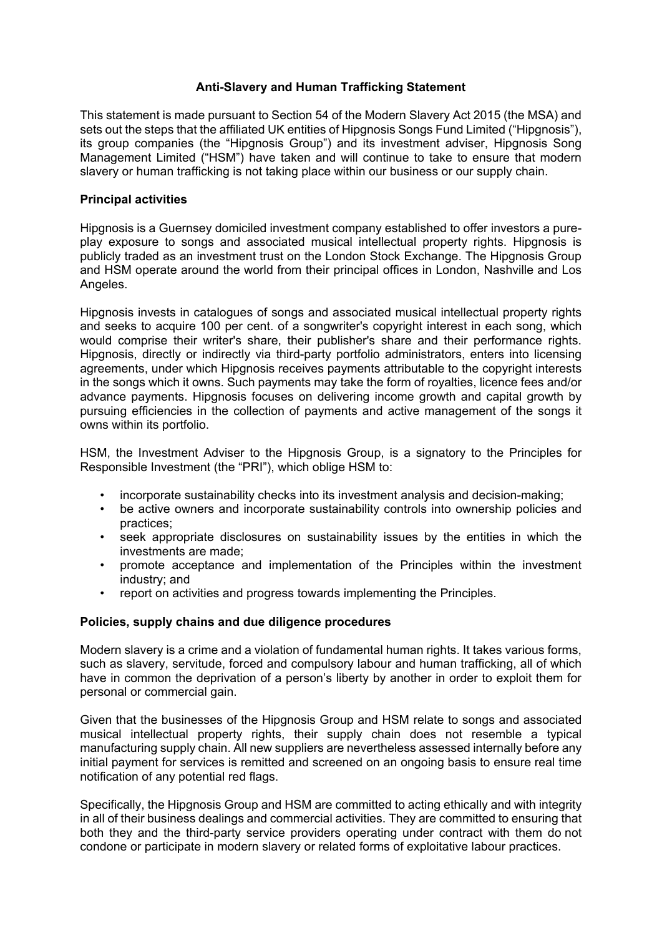## **Anti-Slavery and Human Trafficking Statement**

This statement is made pursuant to Section 54 of the Modern Slavery Act 2015 (the MSA) and sets out the steps that the affiliated UK entities of Hipgnosis Songs Fund Limited ("Hipgnosis"), its group companies (the "Hipgnosis Group") and its investment adviser, Hipgnosis Song Management Limited ("HSM") have taken and will continue to take to ensure that modern slavery or human trafficking is not taking place within our business or our supply chain.

### **Principal activities**

Hipgnosis is a Guernsey domiciled investment company established to offer investors a pureplay exposure to songs and associated musical intellectual property rights. Hipgnosis is publicly traded as an investment trust on the London Stock Exchange. The Hipgnosis Group and HSM operate around the world from their principal offices in London, Nashville and Los Angeles.

Hipgnosis invests in catalogues of songs and associated musical intellectual property rights and seeks to acquire 100 per cent. of a songwriter's copyright interest in each song, which would comprise their writer's share, their publisher's share and their performance rights. Hipgnosis, directly or indirectly via third-party portfolio administrators, enters into licensing agreements, under which Hipgnosis receives payments attributable to the copyright interests in the songs which it owns. Such payments may take the form of royalties, licence fees and/or advance payments. Hipgnosis focuses on delivering income growth and capital growth by pursuing efficiencies in the collection of payments and active management of the songs it owns within its portfolio.

HSM, the Investment Adviser to the Hipgnosis Group, is a signatory to the Principles for Responsible Investment (the "PRI"), which oblige HSM to:

- incorporate sustainability checks into its investment analysis and decision-making;
- be active owners and incorporate sustainability controls into ownership policies and practices;
- seek appropriate disclosures on sustainability issues by the entities in which the investments are made;
- promote acceptance and implementation of the Principles within the investment industry; and
- report on activities and progress towards implementing the Principles.

# **Policies, supply chains and due diligence procedures**

Modern slavery is a crime and a violation of fundamental human rights. It takes various forms, such as slavery, servitude, forced and compulsory labour and human trafficking, all of which have in common the deprivation of a person's liberty by another in order to exploit them for personal or commercial gain.

Given that the businesses of the Hipgnosis Group and HSM relate to songs and associated musical intellectual property rights, their supply chain does not resemble a typical manufacturing supply chain. All new suppliers are nevertheless assessed internally before any initial payment for services is remitted and screened on an ongoing basis to ensure real time notification of any potential red flags.

Specifically, the Hipgnosis Group and HSM are committed to acting ethically and with integrity in all of their business dealings and commercial activities. They are committed to ensuring that both they and the third-party service providers operating under contract with them do not condone or participate in modern slavery or related forms of exploitative labour practices.